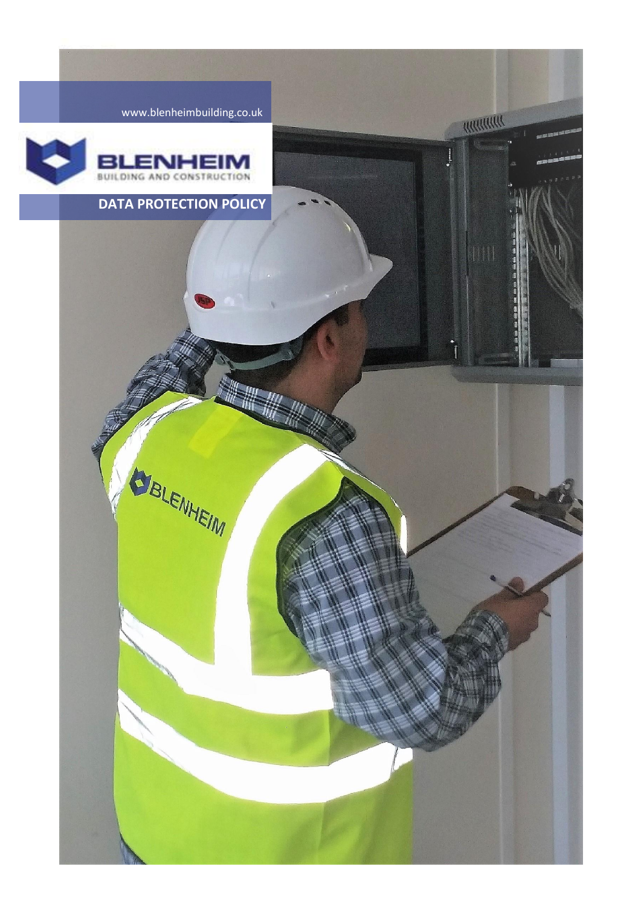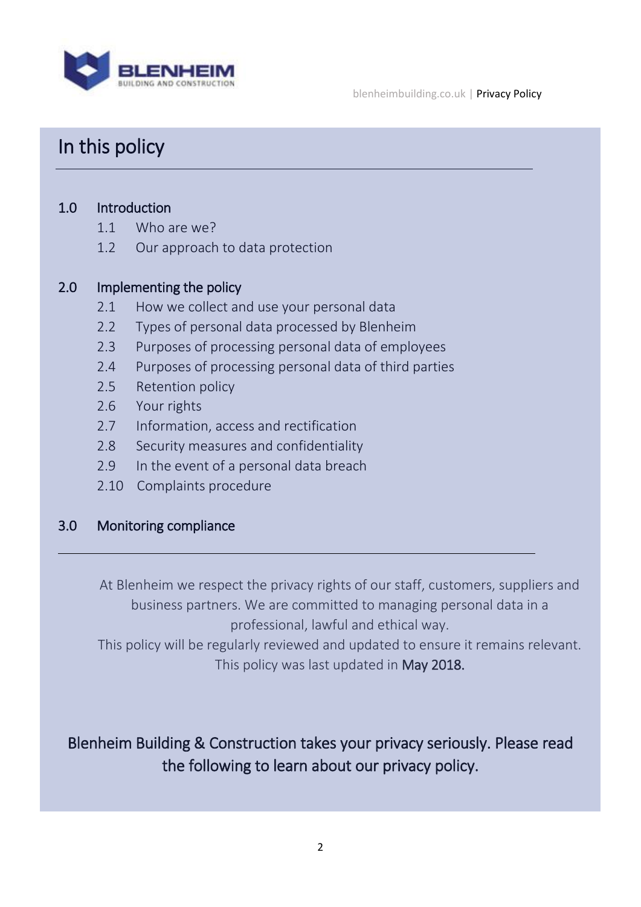

# In this policy

### 1.0 Introduction

- 1.1 Who are we?
- 1.2 Our approach to data protection

#### 2.0 Implementing the policy

- 2.1 How we collect and use your personal data
- 2.2 Types of personal data processed by Blenheim
- 2.3 Purposes of processing personal data of employees
- 2.4 Purposes of processing personal data of third parties
- 2.5 Retention policy
- 2.6 Your rights
- 2.7 Information, access and rectification
- 2.8 Security measures and confidentiality
- 2.9 In the event of a personal data breach
- 2.10 Complaints procedure

#### 3.0 Monitoring compliance

ı

At Blenheim we respect the privacy rights of our staff, customers, suppliers and business partners. We are committed to managing personal data in a professional, lawful and ethical way.

This policy will be regularly reviewed and updated to ensure it remains relevant. This policy was last updated in May 2018.

### Blenheim Building & Construction takes your privacy seriously. Please read the following to learn about our privacy policy.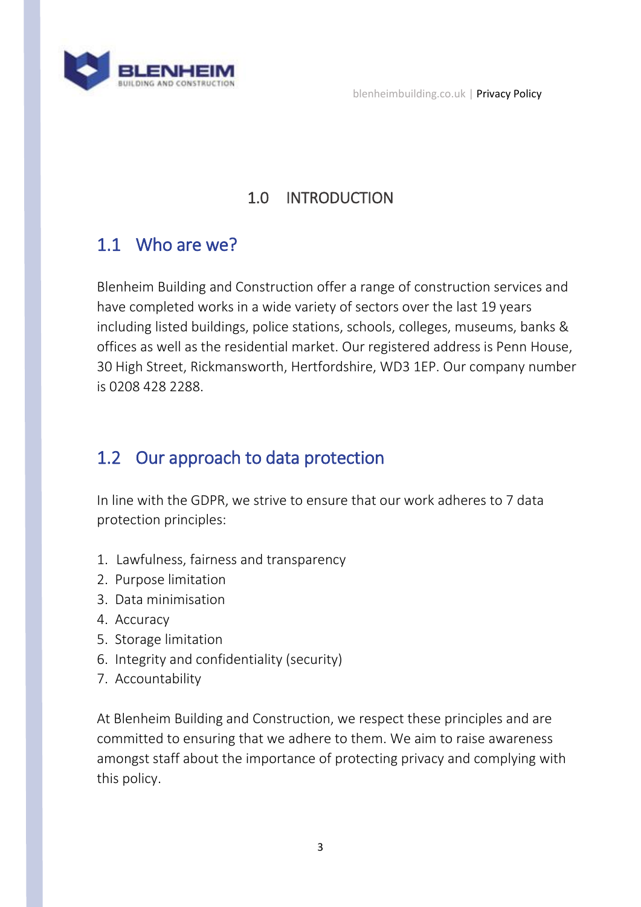

blenheimbuilding.co.uk | Privacy Policy

### 1.0 INTRODUCTION

# 1.1 Who are we?

Blenheim Building and Construction offer a range of construction services and have completed works in a wide variety of sectors over the last 19 years including listed buildings, police stations, schools, colleges, museums, banks & offices as well as the residential market. Our registered address is Penn House, 30 High Street, Rickmansworth, Hertfordshire, WD3 1EP. Our company number is 0208 428 2288.

# 1.2 Our approach to data protection

In line with the GDPR, we strive to ensure that our work adheres to 7 data protection principles:

- 1. Lawfulness, fairness and transparency
- 2. Purpose limitation
- 3. Data minimisation
- 4. Accuracy
- 5. Storage limitation
- 6. Integrity and confidentiality (security)
- 7. Accountability

At Blenheim Building and Construction, we respect these principles and are committed to ensuring that we adhere to them. We aim to raise awareness amongst staff about the importance of protecting privacy and complying with this policy.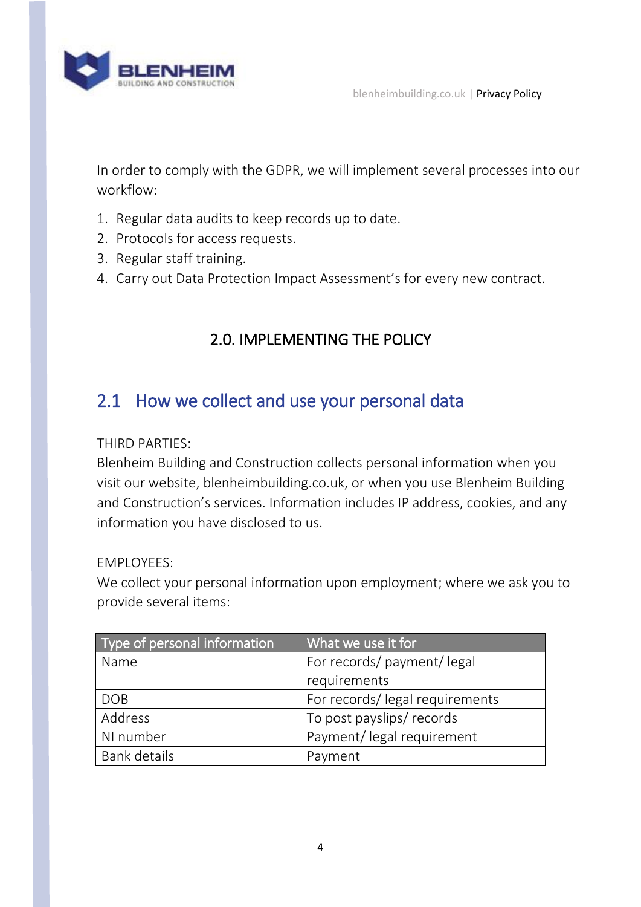

In order to comply with the GDPR, we will implement several processes into our workflow:

- 1. Regular data audits to keep records up to date.
- 2. Protocols for access requests.
- 3. Regular staff training.
- 4. Carry out Data Protection Impact Assessment's for every new contract.

### 2.0. IMPLEMENTING THE POLICY

### 2.1 How we collect and use your personal data

THIRD PARTIES:

Blenheim Building and Construction collects personal information when you visit our website, blenheimbuilding.co.uk, or when you use Blenheim Building and Construction's services. Information includes IP address, cookies, and any information you have disclosed to us.

EMPLOYEES:

We collect your personal information upon employment; where we ask you to provide several items:

| Type of personal information | What we use it for             |
|------------------------------|--------------------------------|
| Name                         | For records/ payment/ legal    |
|                              | requirements                   |
| <b>DOB</b>                   | For records/legal requirements |
| Address                      | To post payslips/ records      |
| NI number                    | Payment/ legal requirement     |
| <b>Bank details</b>          | Payment                        |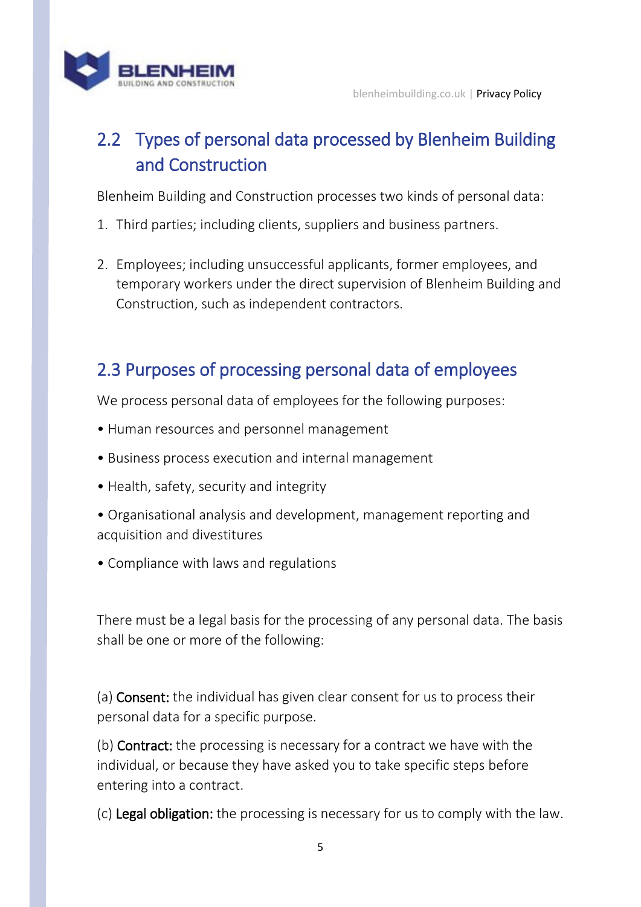

# 2.2 Types of personal data processed by Blenheim Building and Construction

Blenheim Building and Construction processes two kinds of personal data:

- 1. Third parties; including clients, suppliers and business partners.
- 2. Employees; including unsuccessful applicants, former employees, and temporary workers under the direct supervision of Blenheim Building and Construction, such as independent contractors.

# 2.3 Purposes of processing personal data of employees

We process personal data of employees for the following purposes:

- Human resources and personnel management
- Business process execution and internal management
- Health, safety, security and integrity
- Organisational analysis and development, management reporting and acquisition and divestitures
- Compliance with laws and regulations

There must be a legal basis for the processing of any personal data. The basis shall be one or more of the following:

(a) Consent: the individual has given clear consent for us to process their personal data for a specific purpose.

(b) Contract: the processing is necessary for a contract we have with the individual, or because they have asked you to take specific steps before entering into a contract.

(c) Legal obligation: the processing is necessary for us to comply with the law.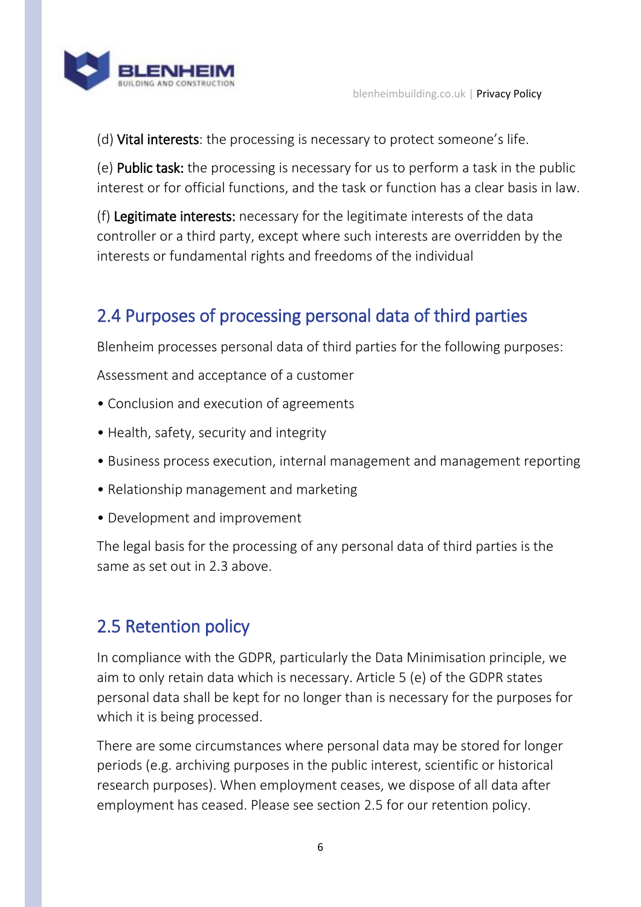

(d) Vital interests: the processing is necessary to protect someone's life.

(e) Public task: the processing is necessary for us to perform a task in the public interest or for official functions, and the task or function has a clear basis in law.

(f) Legitimate interests: necessary for the legitimate interests of the data controller or a third party, except where such interests are overridden by the interests or fundamental rights and freedoms of the individual

# 2.4 Purposes of processing personal data of third parties

Blenheim processes personal data of third parties for the following purposes:

Assessment and acceptance of a customer

- Conclusion and execution of agreements
- Health, safety, security and integrity
- Business process execution, internal management and management reporting
- Relationship management and marketing
- Development and improvement

The legal basis for the processing of any personal data of third parties is the same as set out in 2.3 above.

### 2.5 Retention policy

In compliance with the GDPR, particularly the Data Minimisation principle, we aim to only retain data which is necessary. Article 5 (e) of the GDPR states personal data shall be kept for no longer than is necessary for the purposes for which it is being processed.

There are some circumstances where personal data may be stored for longer periods (e.g. archiving purposes in the public interest, scientific or historical research purposes). When employment ceases, we dispose of all data after employment has ceased. Please see section 2.5 for our retention policy.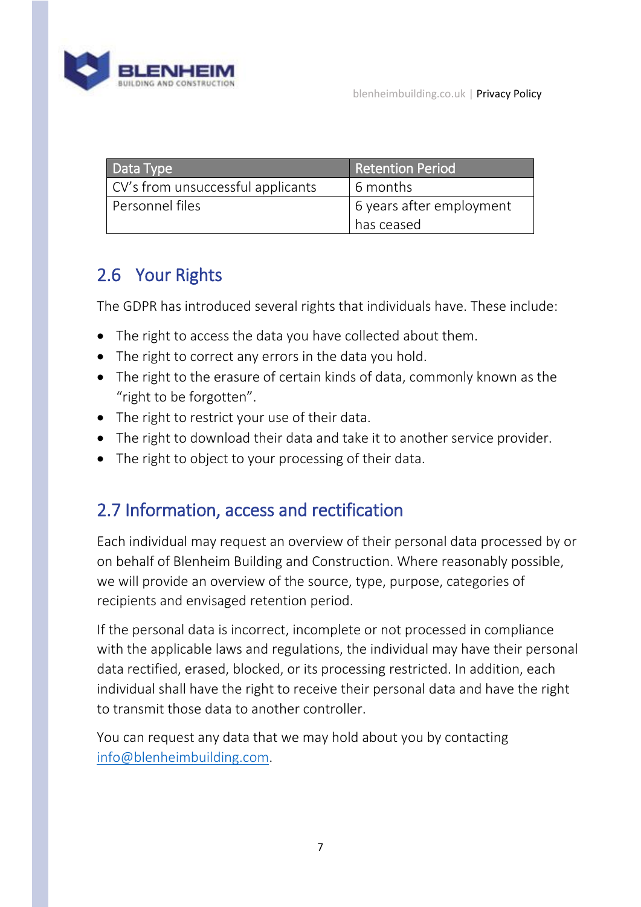

| Data Type                         | <b>Retention Period</b>  |
|-----------------------------------|--------------------------|
| CV's from unsuccessful applicants | 6 months                 |
| Personnel files                   | 6 years after employment |
|                                   | has ceased               |

# 2.6 Your Rights

The GDPR has introduced several rights that individuals have. These include:

- The right to access the data you have collected about them.
- The right to correct any errors in the data you hold.
- The right to the erasure of certain kinds of data, commonly known as the "right to be forgotten".
- The right to restrict your use of their data.
- The right to download their data and take it to another service provider.
- The right to object to your processing of their data.

## 2.7 Information, access and rectification

Each individual may request an overview of their personal data processed by or on behalf of Blenheim Building and Construction. Where reasonably possible, we will provide an overview of the source, type, purpose, categories of recipients and envisaged retention period.

If the personal data is incorrect, incomplete or not processed in compliance with the applicable laws and regulations, the individual may have their personal data rectified, erased, blocked, or its processing restricted. In addition, each individual shall have the right to receive their personal data and have the right to transmit those data to another controller.

You can request any data that we may hold about you by contacting [info@blenheimbuilding.com.](mailto:info@blenheimbuilding.com)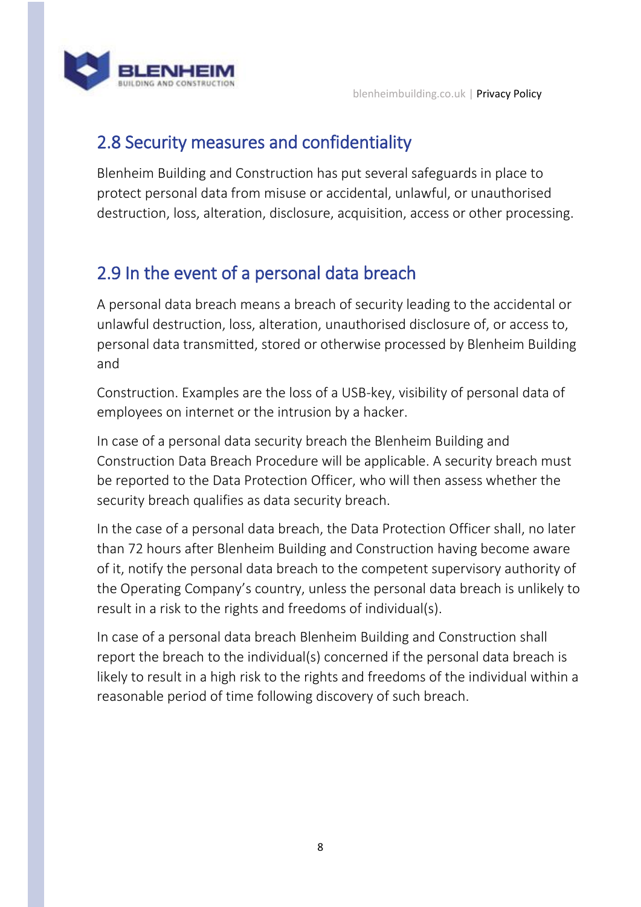



# 2.8 Security measures and confidentiality

Blenheim Building and Construction has put several safeguards in place to protect personal data from misuse or accidental, unlawful, or unauthorised destruction, loss, alteration, disclosure, acquisition, access or other processing.

# 2.9 In the event of a personal data breach

A personal data breach means a breach of security leading to the accidental or unlawful destruction, loss, alteration, unauthorised disclosure of, or access to, personal data transmitted, stored or otherwise processed by Blenheim Building and

Construction. Examples are the loss of a USB-key, visibility of personal data of employees on internet or the intrusion by a hacker.

In case of a personal data security breach the Blenheim Building and Construction Data Breach Procedure will be applicable. A security breach must be reported to the Data Protection Officer, who will then assess whether the security breach qualifies as data security breach.

In the case of a personal data breach, the Data Protection Officer shall, no later than 72 hours after Blenheim Building and Construction having become aware of it, notify the personal data breach to the competent supervisory authority of the Operating Company's country, unless the personal data breach is unlikely to result in a risk to the rights and freedoms of individual(s).

In case of a personal data breach Blenheim Building and Construction shall report the breach to the individual(s) concerned if the personal data breach is likely to result in a high risk to the rights and freedoms of the individual within a reasonable period of time following discovery of such breach.